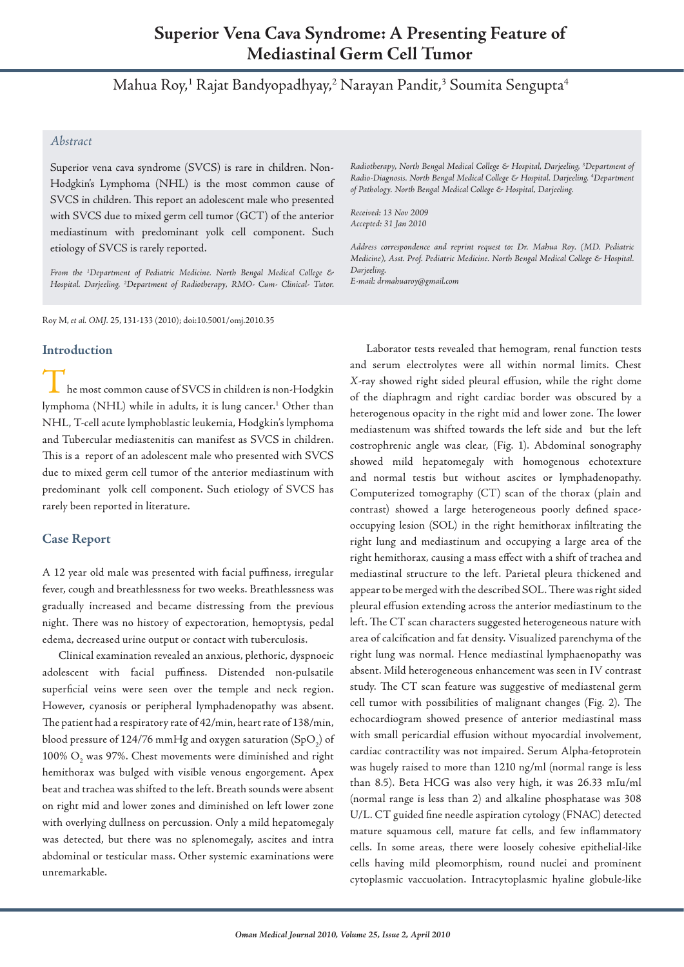# Mahua Roy,<sup>1</sup> Rajat Bandyopadhyay,<sup>2</sup> Narayan Pandit,<sup>3</sup> Soumita Sengupta<sup>4</sup>

### *Abstract*

Superior vena cava syndrome (SVCS) is rare in children. Non-Hodgkin's Lymphoma (NHL) is the most common cause of SVCS in children. This report an adolescent male who presented with SVCS due to mixed germ cell tumor (GCT) of the anterior mediastinum with predominant yolk cell component. Such etiology of SVCS is rarely reported.

*From the 1 Department of Pediatric Medicine. North Bengal Medical College & Hospital. Darjeeling, 2 Department of Radiotherapy, RMO- Cum- Clinical- Tutor.* 

Roy M, *et al. OMJ.* 25, 131-133 (2010); doi:10.5001/omj.2010.35

#### **Introduction**

 $\blacksquare$  he most common cause of SVCS in children is non-Hodgkin lymphoma (NHL) while in adults, it is lung cancer.1 Other than NHL, T-cell acute lymphoblastic leukemia, Hodgkin's lymphoma and Tubercular mediastenitis can manifest as SVCS in children. This is a report of an adolescent male who presented with SVCS due to mixed germ cell tumor of the anterior mediastinum with predominant yolk cell component. Such etiology of SVCS has rarely been reported in literature.

## **Case Report**

A 12 year old male was presented with facial puffiness, irregular fever, cough and breathlessness for two weeks. Breathlessness was gradually increased and became distressing from the previous night. There was no history of expectoration, hemoptysis, pedal edema, decreased urine output or contact with tuberculosis.

Clinical examination revealed an anxious, plethoric, dyspnoeic adolescent with facial puffiness. Distended non-pulsatile superficial veins were seen over the temple and neck region. However, cyanosis or peripheral lymphadenopathy was absent. The patient had a respiratory rate of 42/min, heart rate of 138/min, blood pressure of 124/76 mmHg and oxygen saturation (SpO $_{\textrm{\tiny{2}}})$  of 100%  $\mathrm{O}_\mathrm{2}$  was 97%. Chest movements were diminished and right hemithorax was bulged with visible venous engorgement. Apex beat and trachea was shifted to the left. Breath sounds were absent on right mid and lower zones and diminished on left lower zone with overlying dullness on percussion. Only a mild hepatomegaly was detected, but there was no splenomegaly, ascites and intra abdominal or testicular mass. Other systemic examinations were unremarkable.

*Radiotherapy, North Bengal Medical College & Hospital, Darjeeling, 3 Department of Radio-Diagnosis. North Bengal Medical College & Hospital. Darjeeling. 4 Department of Pathology. North Bengal Medical College & Hospital, Darjeeling.*

*Received: 13 Nov 2009 Accepted: 31 Jan 2010*

*Address correspondence and reprint request to: Dr. Mahua Roy. (MD. Pediatric Medicine), Asst. Prof. Pediatric Medicine. North Bengal Medical College & Hospital. Darjeeling. E-mail: drmahuaroy@gmail.com*

Laborator tests revealed that hemogram, renal function tests and serum electrolytes were all within normal limits. Chest *X*-ray showed right sided pleural effusion, while the right dome of the diaphragm and right cardiac border was obscured by a heterogenous opacity in the right mid and lower zone. The lower mediastenum was shifted towards the left side and but the left costrophrenic angle was clear, (Fig. 1). Abdominal sonography showed mild hepatomegaly with homogenous echotexture and normal testis but without ascites or lymphadenopathy. Computerized tomography (CT) scan of the thorax (plain and contrast) showed a large heterogeneous poorly defined spaceoccupying lesion (SOL) in the right hemithorax infiltrating the right lung and mediastinum and occupying a large area of the right hemithorax, causing a mass effect with a shift of trachea and mediastinal structure to the left. Parietal pleura thickened and appear to be merged with the described SOL. There was right sided pleural effusion extending across the anterior mediastinum to the left. The CT scan characters suggested heterogeneous nature with area of calcification and fat density. Visualized parenchyma of the right lung was normal. Hence mediastinal lymphaenopathy was absent. Mild heterogeneous enhancement was seen in IV contrast study. The CT scan feature was suggestive of mediastenal germ cell tumor with possibilities of malignant changes (Fig. 2). The echocardiogram showed presence of anterior mediastinal mass with small pericardial effusion without myocardial involvement, cardiac contractility was not impaired. Serum Alpha-fetoprotein was hugely raised to more than 1210 ng/ml (normal range is less than 8.5). Beta HCG was also very high, it was 26.33 mIu/ml (normal range is less than 2) and alkaline phosphatase was 308 U/L. CT guided fine needle aspiration cytology (FNAC) detected mature squamous cell, mature fat cells, and few inflammatory cells. In some areas, there were loosely cohesive epithelial-like cells having mild pleomorphism, round nuclei and prominent cytoplasmic vaccuolation. Intracytoplasmic hyaline globule-like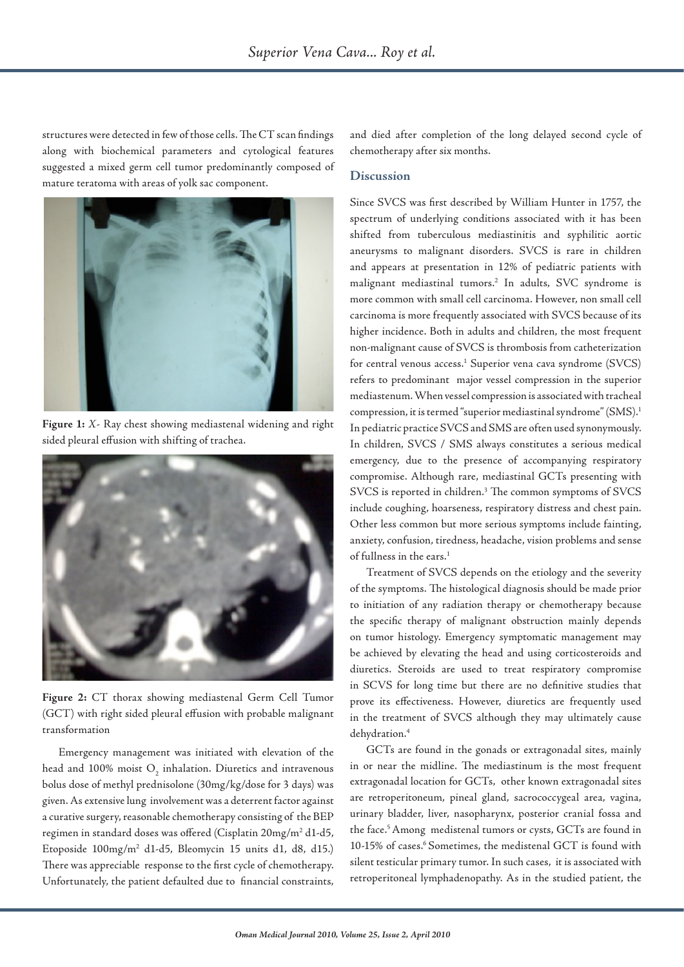structures were detected in few of those cells. The CT scan findings along with biochemical parameters and cytological features suggested a mixed germ cell tumor predominantly composed of mature teratoma with areas of yolk sac component.



**Figure 1:** *X*- Ray chest showing mediastenal widening and right sided pleural effusion with shifting of trachea.



**Figure 2:** CT thorax showing mediastenal Germ Cell Tumor (GCT) with right sided pleural effusion with probable malignant transformation

Emergency management was initiated with elevation of the head and 100% moist  $O_{_2}$  inhalation. Diuretics and intravenous bolus dose of methyl prednisolone (30mg/kg/dose for 3 days) was given. As extensive lung involvement was a deterrent factor against a curative surgery, reasonable chemotherapy consisting of the BEP regimen in standard doses was offered (Cisplatin 20mg/m<sup>2</sup> d1-d5, Etoposide 100mg/m2 d1-d5, Bleomycin 15 units d1, d8, d15.) There was appreciable response to the first cycle of chemotherapy. Unfortunately, the patient defaulted due to financial constraints,

and died after completion of the long delayed second cycle of chemotherapy after six months.

#### **Discussion**

Since SVCS was first described by William Hunter in 1757, the spectrum of underlying conditions associated with it has been shifted from tuberculous mediastinitis and syphilitic aortic aneurysms to malignant disorders. SVCS is rare in children and appears at presentation in 12% of pediatric patients with malignant mediastinal tumors.2 In adults, SVC syndrome is more common with small cell carcinoma. However, non small cell carcinoma is more frequently associated with SVCS because of its higher incidence. Both in adults and children, the most frequent non-malignant cause of SVCS is thrombosis from catheterization for central venous access.<sup>1</sup> Superior vena cava syndrome (SVCS) refers to predominant major vessel compression in the superior mediastenum. When vessel compression is associated with tracheal compression, it is termed "superior mediastinal syndrome" (SMS).<sup>1</sup> In pediatric practice SVCS and SMS are often used synonymously. In children, SVCS / SMS always constitutes a serious medical emergency, due to the presence of accompanying respiratory compromise. Although rare, mediastinal GCTs presenting with SVCS is reported in children.3 The common symptoms of SVCS include coughing, hoarseness, respiratory distress and chest pain. Other less common but more serious symptoms include fainting, anxiety, confusion, tiredness, headache, vision problems and sense of fullness in the ears.<sup>1</sup>

Treatment of SVCS depends on the etiology and the severity of the symptoms. The histological diagnosis should be made prior to initiation of any radiation therapy or chemotherapy because the specific therapy of malignant obstruction mainly depends on tumor histology. Emergency symptomatic management may be achieved by elevating the head and using corticosteroids and diuretics. Steroids are used to treat respiratory compromise in SCVS for long time but there are no definitive studies that prove its effectiveness. However, diuretics are frequently used in the treatment of SVCS although they may ultimately cause dehydration.4

GCTs are found in the gonads or extragonadal sites, mainly in or near the midline. The mediastinum is the most frequent extragonadal location for GCTs, other known extragonadal sites are retroperitoneum, pineal gland, sacrococcygeal area, vagina, urinary bladder, liver, nasopharynx, posterior cranial fossa and the face.<sup>5</sup> Among medistenal tumors or cysts, GCTs are found in 10-15% of cases.<sup>6</sup> Sometimes, the medistenal GCT is found with silent testicular primary tumor. In such cases, it is associated with retroperitoneal lymphadenopathy. As in the studied patient, the